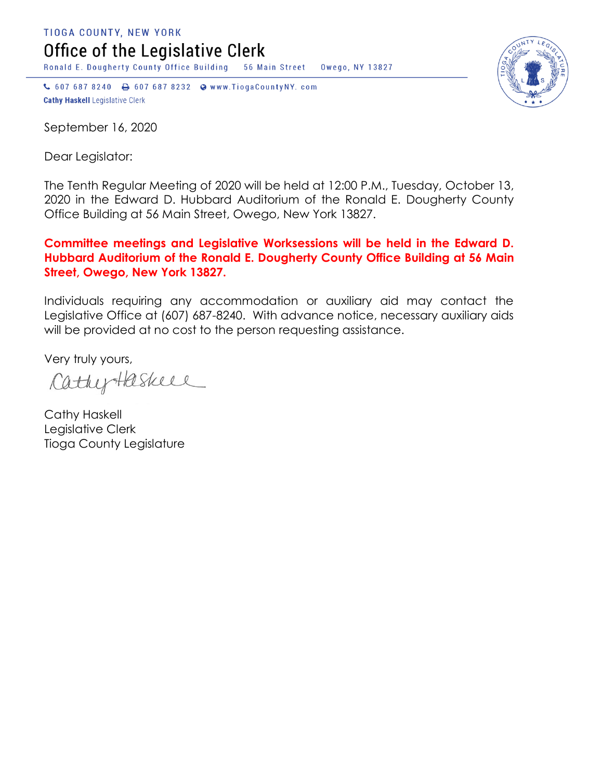TIOGA COUNTY, NEW YORK Office of the Legislative Clerk

Ronald E. Dougherty County Office Building 56 Main Street Owego, NY 13827

↓ 607 687 8240 → 607 687 8232 → www.TiogaCountyNY.com **Cathy Haskell Legislative Clerk** 

September 16, 2020

Dear Legislator:

The Tenth Regular Meeting of 2020 will be held at 12:00 P.M., Tuesday, October 13, 2020 in the Edward D. Hubbard Auditorium of the Ronald E. Dougherty County Office Building at 56 Main Street, Owego, New York 13827.

## **Committee meetings and Legislative Worksessions will be held in the Edward D. Hubbard Auditorium of the Ronald E. Dougherty County Office Building at 56 Main Street, Owego, New York 13827.**

Individuals requiring any accommodation or auxiliary aid may contact the Legislative Office at (607) 687-8240. With advance notice, necessary auxiliary aids will be provided at no cost to the person requesting assistance.

Very truly yours,

CathyHaskell

Cathy Haskell Legislative Clerk Tioga County Legislature